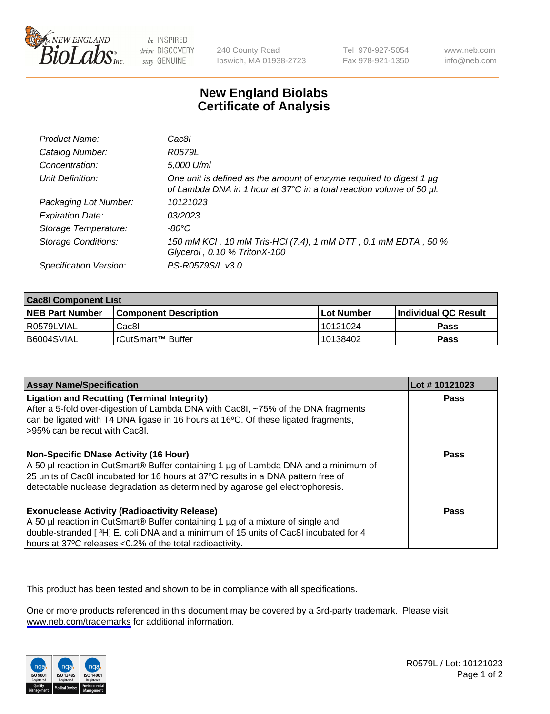

be INSPIRED drive DISCOVERY stay GENUINE

240 County Road Ipswich, MA 01938-2723 Tel 978-927-5054 Fax 978-921-1350

www.neb.com info@neb.com

## **New England Biolabs Certificate of Analysis**

| Product Name:              | Cac8l                                                                                                                                       |
|----------------------------|---------------------------------------------------------------------------------------------------------------------------------------------|
| Catalog Number:            | R0579L                                                                                                                                      |
| Concentration:             | 5,000 U/ml                                                                                                                                  |
| Unit Definition:           | One unit is defined as the amount of enzyme required to digest 1 µg<br>of Lambda DNA in 1 hour at 37°C in a total reaction volume of 50 µl. |
| Packaging Lot Number:      | 10121023                                                                                                                                    |
| <b>Expiration Date:</b>    | 03/2023                                                                                                                                     |
| Storage Temperature:       | -80°C                                                                                                                                       |
| <b>Storage Conditions:</b> | 150 mM KCI, 10 mM Tris-HCI (7.4), 1 mM DTT, 0.1 mM EDTA, 50 %<br>Glycerol, 0.10 % TritonX-100                                               |
| Specification Version:     | PS-R0579S/L v3.0                                                                                                                            |

| <b>Cac8I Component List</b> |                         |             |                             |  |
|-----------------------------|-------------------------|-------------|-----------------------------|--|
| <b>NEB Part Number</b>      | l Component Description | ⊺Lot Number | <b>Individual QC Result</b> |  |
| I R0579LVIAL                | Cac8I                   | 10121024    | Pass                        |  |
| B6004SVIAL                  | l rCutSmart™ Buffer_    | 10138402    | Pass                        |  |

| <b>Assay Name/Specification</b>                                                                                                                                                                                                                                                                           | Lot #10121023 |
|-----------------------------------------------------------------------------------------------------------------------------------------------------------------------------------------------------------------------------------------------------------------------------------------------------------|---------------|
| <b>Ligation and Recutting (Terminal Integrity)</b><br>After a 5-fold over-digestion of Lambda DNA with Cac8I, ~75% of the DNA fragments<br>can be ligated with T4 DNA ligase in 16 hours at 16 <sup>o</sup> C. Of these ligated fragments,<br>-95% can be recut with Cac8l.                               | Pass          |
| <b>Non-Specific DNase Activity (16 Hour)</b><br>A 50 µl reaction in CutSmart® Buffer containing 1 µg of Lambda DNA and a minimum of<br>25 units of Cac8I incubated for 16 hours at 37°C results in a DNA pattern free of<br>detectable nuclease degradation as determined by agarose gel electrophoresis. | Pass          |
| <b>Exonuclease Activity (Radioactivity Release)</b><br>A 50 µl reaction in CutSmart® Buffer containing 1 µg of a mixture of single and<br>double-stranded [3H] E. coli DNA and a minimum of 15 units of Cac8I incubated for 4<br>hours at 37°C releases <0.2% of the total radioactivity.                 | Pass          |

This product has been tested and shown to be in compliance with all specifications.

One or more products referenced in this document may be covered by a 3rd-party trademark. Please visit <www.neb.com/trademarks>for additional information.